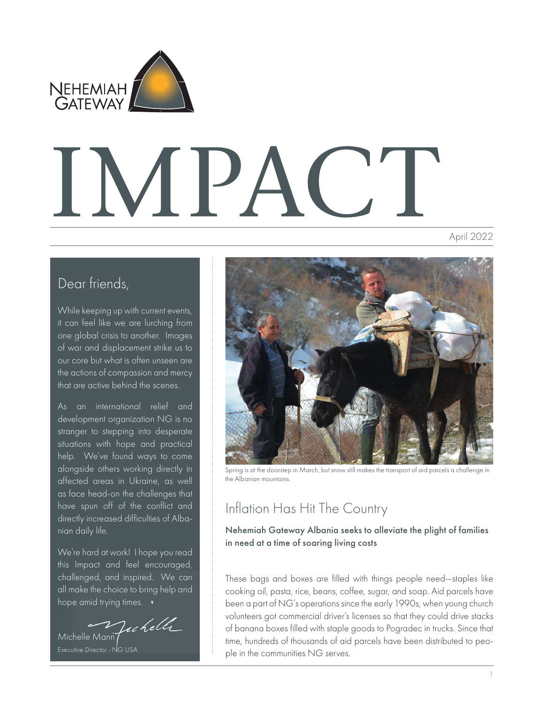

# IMPACTI

April 2022

## Dear friends,

While keeping up with current events, it can feel like we are lurching from one global crisis to another. Images of war and displacement strike us to our core but what is often unseen are the actions of compassion and mercy that are active behind the scenes.

As an international relief and development organization NG is no stranger to stepping into desperate situations with hope and practical help. We've found ways to come alongside others working directly in affected areas in Ukraine, as well as face head-on the challenges that have spun off of the conflict and directly increased difficulties of Albanian daily life.

We're hard at work! I hope you read this Impact and feel encouraged, challenged, and inspired. We can all make the choice to bring help and hope amid trying times. **v** 

Michelle Mann Jechell

Executive Director - NG USA



Spring is at the doorstep in March, but snow still makes the transport of aid parcels a challenge in the Albanian mountains.

# Inflation Has Hit The Country

Nehemiah Gateway Albania seeks to alleviate the plight of families in need at a time of soaring living costs

These bags and boxes are filled with things people need—staples like cooking oil, pasta, rice, beans, coffee, sugar, and soap. Aid parcels have been a part of NG's operations since the early 1990s, when young church volunteers got commercial driver's licenses so that they could drive stacks of banana boxes filled with staple goods to Pogradec in trucks. Since that time, hundreds of thousands of aid parcels have been distributed to people in the communities NG serves.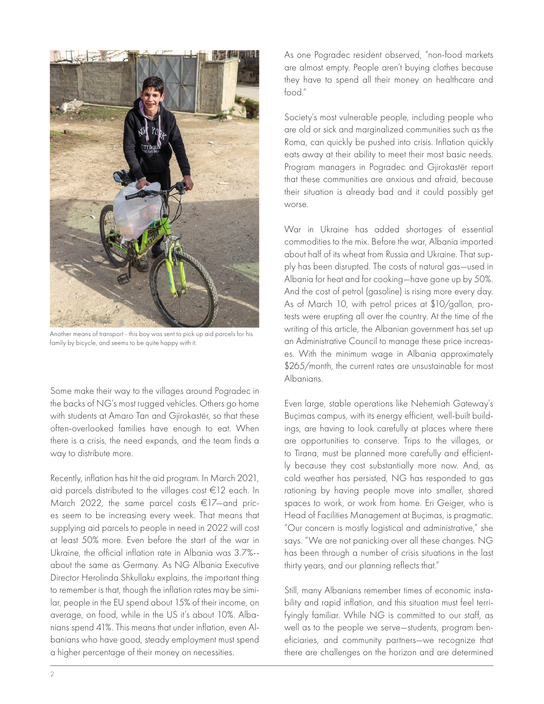

Another means of transport - this boy was sent to pick up aid parcels for his family by bicycle, and seems to be quite happy with it.

Some make their way to the villages around Pogradec in the backs of NG's most rugged vehicles. Others go home with students at Amaro Tan and Gjirokastër, so that these often-overlooked families have enough to eat. When there is a crisis, the need expands, and the team finds a way to distribute more.

Recently, inflation has hit the aid program. In March 2021, aid parcels distributed to the villages cost €12 each. In March 2022, the same parcel costs €17—and prices seem to be increasing every week. That means that supplying aid parcels to people in need in 2022 will cost at least 50% more. Even before the start of the war in Ukraine, the official inflation rate in Albania was 3.7%- about the same as Germany. As NG Albania Executive Director Herolinda Shkullaku explains, the important thing to remember is that, though the inflation rates may be similar, people in the EU spend about 15% of their income, on average, on food, while in the US it's about 10%. Albanians spend 41%. This means that under inflation, even Albanians who have good, steady employment must spend a higher percentage of their money on necessities.

As one Pogradec resident observed, "non-food markets are almost empty. People aren't buying clothes because they have to spend all their money on healthcare and food."

Society's most vulnerable people, including people who are old or sick and marginalized communities such as the Roma, can quickly be pushed into crisis. Inflation quickly eats away at their ability to meet their most basic needs. Program managers in Pogradec and Gjirokastër report that these communities are anxious and afraid, because their situation is already bad and it could possibly get worse.

War in Ukraine has added shortages of essential commodities to the mix. Before the war, Albania imported about half of its wheat from Russia and Ukraine. That supply has been disrupted. The costs of natural gas—used in Albania for heat and for cooking—have gone up by 50%. And the cost of petrol (gasoline) is rising more every day. As of March 10, with petrol prices at \$10/gallon, protests were erupting all over the country. At the time of the writing of this article, the Albanian government has set up an Administrative Council to manage these price increases. With the minimum wage in Albania approximately \$265/month, the current rates are unsustainable for most Albanians.

Even large, stable operations like Nehemiah Gateway's Buçimas campus, with its energy efficient, well-built buildings, are having to look carefully at places where there are opportunities to conserve. Trips to the villages, or to Tirana, must be planned more carefully and efficiently because they cost substantially more now. And, as cold weather has persisted, NG has responded to gas rationing by having people move into smaller, shared spaces to work, or work from home. Eri Geiger, who is Head of Facilities Management at Buçimas, is pragmatic. "Our concern is mostly logistical and administrative," she says. "We are not panicking over all these changes. NG has been through a number of crisis situations in the last thirty years, and our planning reflects that."

Still, many Albanians remember times of economic instability and rapid inflation, and this situation must feel terrifyingly familiar. While NG is committed to our staff, as well as to the people we serve—students, program beneficiaries, and community partners—we recognize that there are challenges on the horizon and are determined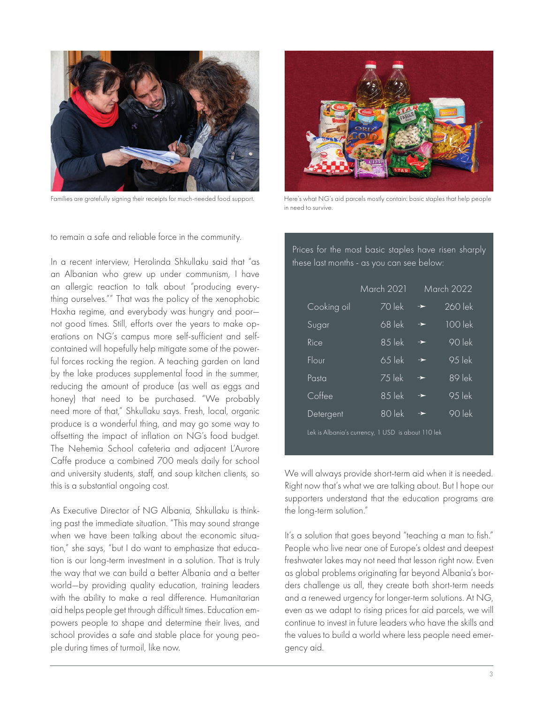

Families are gratefully signing their receipts for much-needed food support. Here's what NG's aid parcels mostly contain: basic staples that help people

to remain a safe and reliable force in the community.

In a recent interview, Herolinda Shkullaku said that "as an Albanian who grew up under communism, I have an allergic reaction to talk about "producing everything ourselves."" That was the policy of the xenophobic Hoxha regime, and everybody was hungry and poor not good times. Still, efforts over the years to make operations on NG's campus more self-sufficient and selfcontained will hopefully help mitigate some of the powerful forces rocking the region. A teaching garden on land by the lake produces supplemental food in the summer, reducing the amount of produce (as well as eggs and honey) that need to be purchased. "We probably need more of that," Shkullaku says. Fresh, local, organic produce is a wonderful thing, and may go some way to offsetting the impact of inflation on NG's food budget. The Nehemia School cafeteria and adjacent L'Aurore Caffe produce a combined 700 meals daily for school and university students, staff, and soup kitchen clients, so this is a substantial ongoing cost.

As Executive Director of NG Albania, Shkullaku is thinking past the immediate situation. "This may sound strange when we have been talking about the economic situation," she says, "but I do want to emphasize that education is our long-term investment in a solution. That is truly the way that we can build a better Albania and a better world—by providing quality education, training leaders with the ability to make a real difference. Humanitarian aid helps people get through difficult times. Education empowers people to shape and determine their lives, and school provides a safe and stable place for young people during times of turmoil, like now.



in need to survive.

Prices for the most basic staples have risen sharply these last months - as you can see below:

|                                                   | March 2021          | March 2022    |                     |
|---------------------------------------------------|---------------------|---------------|---------------------|
| Cooking oil                                       | $70$ lek            | $\rightarrow$ | 260 lek             |
| Sugar                                             | 68 lek              | →             | 100 lek             |
| Rice                                              | $85$ lek            | →             | $\overline{90}$ lek |
| Flour                                             | $\overline{65}$ lek | $\rightarrow$ | $\overline{95}$ lek |
| Pasta                                             | 75 lek              | $\rightarrow$ | 89 lek              |
| Coffee                                            | $85$ lek            | →             | $\overline{95}$ lek |
| Detergent                                         | 80 lek              | $\rightarrow$ | $\overline{90}$ lek |
| Lek is Albania's currency, 1 USD is about 110 lek |                     |               |                     |

We will always provide short-term aid when it is needed. Right now that's what we are talking about. But I hope our supporters understand that the education programs are the long-term solution."

It's a solution that goes beyond "teaching a man to fish." People who live near one of Europe's oldest and deepest freshwater lakes may not need that lesson right now. Even as global problems originating far beyond Albania's borders challenge us all, they create both short-term needs and a renewed urgency for longer-term solutions. At NG, even as we adapt to rising prices for aid parcels, we will continue to invest in future leaders who have the skills and the values to build a world where less people need emergency aid.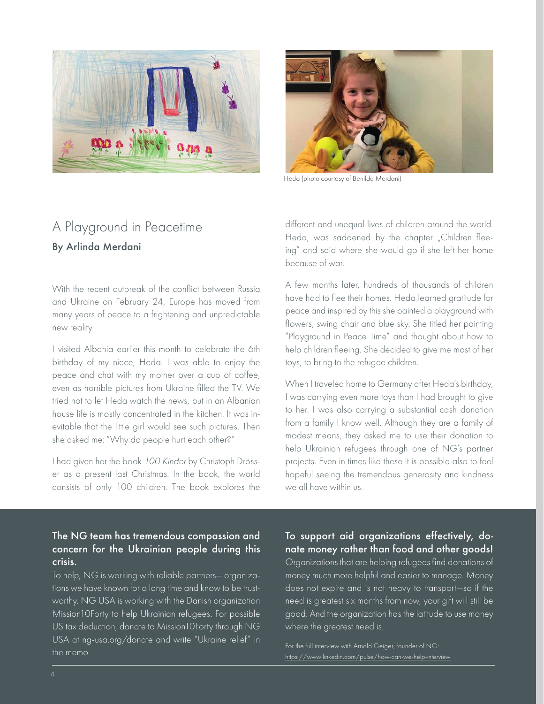



Heda (photo courtesy of Benilda Merdani)

## A Playground in Peacetime By Arlinda Merdani

With the recent outbreak of the conflict between Russia and Ukraine on February 24, Europe has moved from many years of peace to a frightening and unpredictable new reality.

I visited Albania earlier this month to celebrate the 6th birthday of my niece, Heda. I was able to enjoy the peace and chat with my mother over a cup of coffee, even as horrible pictures from Ukraine filled the TV. We tried not to let Heda watch the news, but in an Albanian house life is mostly concentrated in the kitchen. It was inevitable that the little girl would see such pictures. Then she asked me: "Why do people hurt each other?"

I had given her the book 100 Kinder by Christoph Drösser as a present last Christmas. In the book, the world consists of only 100 children. The book explores the

different and unequal lives of children around the world. Heda, was saddened by the chapter "Children fleeing" and said where she would go if she left her home because of war.

A few months later, hundreds of thousands of children have had to flee their homes. Heda learned gratitude for peace and inspired by this she painted a playground with flowers, swing chair and blue sky. She titled her painting "Playground in Peace Time" and thought about how to help children fleeing. She decided to give me most of her toys, to bring to the refugee children.

When I traveled home to Germany after Heda's birthday, I was carrying even more toys than I had brought to give to her. I was also carrying a substantial cash donation from a family I know well. Although they are a family of modest means, they asked me to use their donation to help Ukrainian refugees through one of NG's partner projects. Even in times like these it is possible also to feel hopeful seeing the tremendous generosity and kindness we all have within us.

### The NG team has tremendous compassion and concern for the Ukrainian people during this crisis.

To help, NG is working with reliable partners-- organizations we have known for a long time and know to be trustworthy. NG USA is working with the Danish organization Mission10Forty to help Ukrainian refugees. For possible US tax deduction, donate to Mission10Forty through NG USA at ng-usa.org/donate and write "Ukraine relief" in the memo.

#### To support aid organizations effectively, donate money rather than food and other goods!

Organizations that are helping refugees find donations of money much more helpful and easier to manage. Money does not expire and is not heavy to transport—so if the need is greatest six months from now, your gift will still be good. And the organization has the latitude to use money where the greatest need is.

For the full interview with Arnold Geiger, founder of NG: https://www.linkedin.com/pulse/how-can-we-help-interview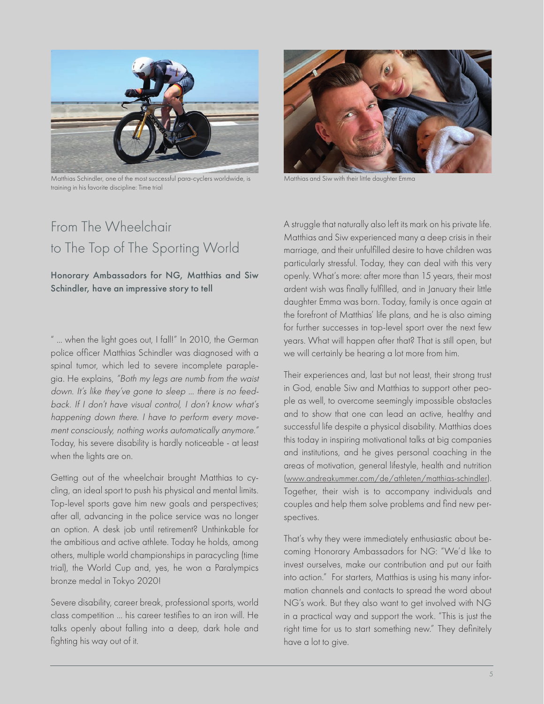

Matthias Schindler, one of the most successful para-cyclers worldwide, is training in his favorite discipline: Time trial

# From The Wheelchair to The Top of The Sporting World

Honorary Ambassadors for NG, Matthias and Siw Schindler, have an impressive story to tell

" ... when the light goes out, I fall!" In 2010, the German police officer Matthias Schindler was diagnosed with a spinal tumor, which led to severe incomplete paraplegia. He explains, "Both my legs are numb from the waist down. It's like they've gone to sleep ... there is no feedback. If I don't have visual control, I don't know what's happening down there. I have to perform every movement consciously, nothing works automatically anymore." Today, his severe disability is hardly noticeable - at least when the lights are on.

Getting out of the wheelchair brought Matthias to cycling, an ideal sport to push his physical and mental limits. Top-level sports gave him new goals and perspectives; after all, advancing in the police service was no longer an option. A desk job until retirement? Unthinkable for the ambitious and active athlete. Today he holds, among others, multiple world championships in paracycling (time trial), the World Cup and, yes, he won a Paralympics bronze medal in Tokyo 2020!

Severe disability, career break, professional sports, world class competition … his career testifies to an iron will. He talks openly about falling into a deep, dark hole and fighting his way out of it.



Matthias and Siw with their little daughter Emma

A struggle that naturally also left its mark on his private life. Matthias and Siw experienced many a deep crisis in their marriage, and their unfulfilled desire to have children was particularly stressful. Today, they can deal with this very openly. What's more: after more than 15 years, their most ardent wish was finally fulfilled, and in January their little daughter Emma was born. Today, family is once again at the forefront of Matthias' life plans, and he is also aiming for further successes in top-level sport over the next few years. What will happen after that? That is still open, but we will certainly be hearing a lot more from him.

Their experiences and, last but not least, their strong trust in God, enable Siw and Matthias to support other people as well, to overcome seemingly impossible obstacles and to show that one can lead an active, healthy and successful life despite a physical disability. Matthias does this today in inspiring motivational talks at big companies and institutions, and he gives personal coaching in the areas of motivation, general lifestyle, health and nutrition (www.andreakummer.com/de/athleten/matthias-schindler). Together, their wish is to accompany individuals and couples and help them solve problems and find new perspectives.

That's why they were immediately enthusiastic about becoming Honorary Ambassadors for NG: "We'd like to invest ourselves, make our contribution and put our faith into action." For starters, Matthias is using his many information channels and contacts to spread the word about NG's work. But they also want to get involved with NG in a practical way and support the work. "This is just the right time for us to start something new." They definitely have a lot to give.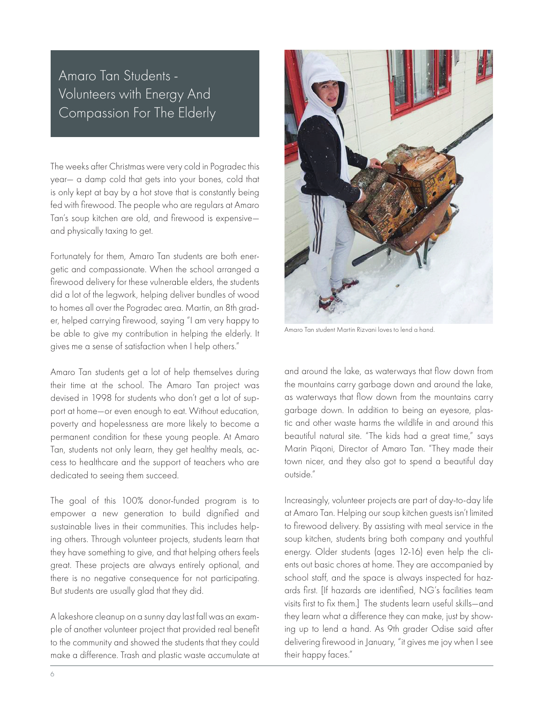# Amaro Tan Students - Volunteers with Energy And Compassion For The Elderly

The weeks after Christmas were very cold in Pogradec this year— a damp cold that gets into your bones, cold that is only kept at bay by a hot stove that is constantly being fed with firewood. The people who are regulars at Amaro Tan's soup kitchen are old, and firewood is expensive and physically taxing to get.

Fortunately for them, Amaro Tan students are both energetic and compassionate. When the school arranged a firewood delivery for these vulnerable elders, the students did a lot of the legwork, helping deliver bundles of wood to homes all over the Pogradec area. Martin, an 8th grader, helped carrying firewood, saying "I am very happy to be able to give my contribution in helping the elderly. It gives me a sense of satisfaction when I help others."

Amaro Tan students get a lot of help themselves during their time at the school. The Amaro Tan project was devised in 1998 for students who don't get a lot of support at home—or even enough to eat. Without education, poverty and hopelessness are more likely to become a permanent condition for these young people. At Amaro Tan, students not only learn, they get healthy meals, access to healthcare and the support of teachers who are dedicated to seeing them succeed.

The goal of this 100% donor-funded program is to empower a new generation to build dignified and sustainable lives in their communities. This includes helping others. Through volunteer projects, students learn that they have something to give, and that helping others feels great. These projects are always entirely optional, and there is no negative consequence for not participating. But students are usually glad that they did.

A lakeshore cleanup on a sunny day last fall was an example of another volunteer project that provided real benefit to the community and showed the students that they could make a difference. Trash and plastic waste accumulate at



Amaro Tan student Martin Rizvani loves to lend a hand.

and around the lake, as waterways that flow down from the mountains carry garbage down and around the lake, as waterways that flow down from the mountains carry garbage down. In addition to being an eyesore, plastic and other waste harms the wildlife in and around this beautiful natural site. "The kids had a great time," says Marin Piqoni, Director of Amaro Tan. "They made their town nicer, and they also got to spend a beautiful day outside."

Increasingly, volunteer projects are part of day-to-day life at Amaro Tan. Helping our soup kitchen guests isn't limited to firewood delivery. By assisting with meal service in the soup kitchen, students bring both company and youthful energy. Older students (ages 12-16) even help the clients out basic chores at home. They are accompanied by school staff, and the space is always inspected for hazards first. [If hazards are identified, NG's facilities team visits first to fix them.] The students learn useful skills—and they learn what a difference they can make, just by showing up to lend a hand. As 9th grader Odise said after delivering firewood in January, "it gives me joy when I see their happy faces."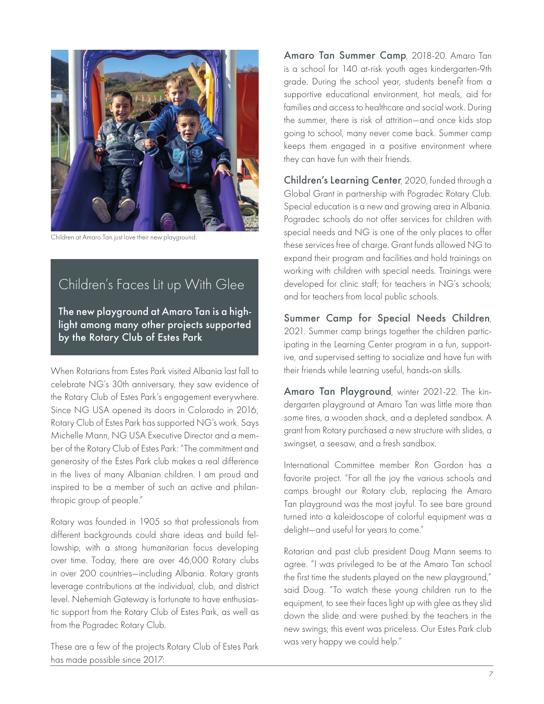

Children at Amaro Tan just love their new playground.

# Children's Faces Lit up With Glee

The new playground at Amaro Tan is a highlight among many other projects supported by the Rotary Club of Estes Park

When Rotarians from Estes Park visited Albania last fall to celebrate NG's 30th anniversary, they saw evidence of the Rotary Club of Estes Park's engagement everywhere. Since NG USA opened its doors in Colorado in 2016, Rotary Club of Estes Park has supported NG's work. Says Michelle Mann, NG USA Executive Director and a member of the Rotary Club of Estes Park: "The commitment and generosity of the Estes Park club makes a real difference in the lives of many Albanian children. I am proud and inspired to be a member of such an active and philanthropic group of people."

Rotary was founded in 1905 so that professionals from different backgrounds could share ideas and build fellowship, with a strong humanitarian focus developing over time. Today, there are over 46,000 Rotary clubs in over 200 countries—including Albania. Rotary grants leverage contributions at the individual, club, and district level. Nehemiah Gateway is fortunate to have enthusiastic support from the Rotary Club of Estes Park, as well as from the Pogradec Rotary Club.

These are a few of the projects Rotary Club of Estes Park has made possible since 2017:

Amaro Tan Summer Camp, 2018-20. Amaro Tan is a school for 140 at-risk youth ages kindergarten-9th grade. During the school year, students benefit from a supportive educational environment, hot meals, aid for families and access to healthcare and social work. During the summer, there is risk of attrition—and once kids stop going to school, many never come back. Summer camp keeps them engaged in a positive environment where they can have fun with their friends.

Children's Learning Center, 2020, funded through a Global Grant in partnership with Pogradec Rotary Club. Special education is a new and growing area in Albania. Pogradec schools do not offer services for children with special needs and NG is one of the only places to offer these services free of charge. Grant funds allowed NG to expand their program and facilities and hold trainings on working with children with special needs. Trainings were developed for clinic staff; for teachers in NG's schools; and for teachers from local public schools.

Summer Camp for Special Needs Children, 2021. Summer camp brings together the children participating in the Learning Center program in a fun, supportive, and supervised setting to socialize and have fun with their friends while learning useful, hands-on skills.

Amaro Tan Playground, winter 2021-22. The kindergarten playground at Amaro Tan was little more than some tires, a wooden shack, and a depleted sandbox. A grant from Rotary purchased a new structure with slides, a swingset, a seesaw, and a fresh sandbox.

International Committee member Ron Gordon has a favorite project. "For all the joy the various schools and camps brought our Rotary club, replacing the Amaro Tan playground was the most joyful. To see bare ground turned into a kaleidoscope of colorful equipment was a delight—and useful for years to come."

Rotarian and past club president Doug Mann seems to agree. "I was privileged to be at the Amaro Tan school the first time the students played on the new playground," said Doug. "To watch these young children run to the equipment, to see their faces light up with glee as they slid down the slide and were pushed by the teachers in the new swings; this event was priceless. Our Estes Park club was very happy we could help."